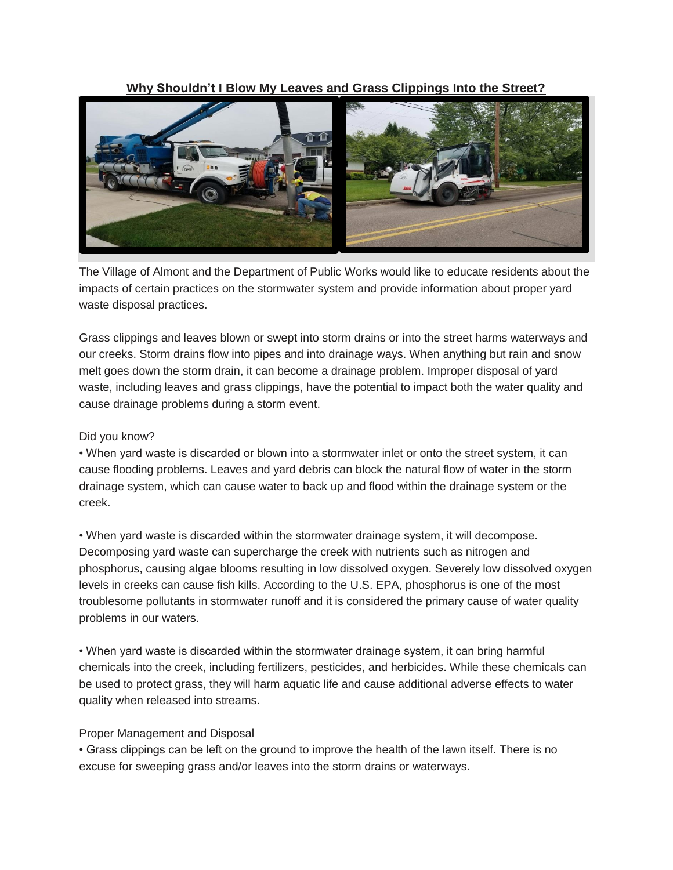## **Why Shouldn't [I Blow My Leaves and Grass Clippings Into the Street?](https://nextdoor.com/city/post/35952135/)**



The Village of Almont and the Department of Public Works would like to educate residents about the impacts of certain practices on the stormwater system and provide information about proper yard waste disposal practices.

Grass clippings and leaves blown or swept into storm drains or into the street harms waterways and our creeks. Storm drains flow into pipes and into drainage ways. When anything but rain and snow melt goes down the storm drain, it can become a drainage problem. Improper disposal of yard waste, including leaves and grass clippings, have the potential to impact both the water quality and cause drainage problems during a storm event.

## Did you know?

• When yard waste is discarded or blown into a stormwater inlet or onto the street system, it can cause flooding problems. Leaves and yard debris can block the natural flow of water in the storm drainage system, which can cause water to back up and flood within the drainage system or the creek.

• When yard waste is discarded within the stormwater drainage system, it will decompose. Decomposing yard waste can supercharge the creek with nutrients such as nitrogen and phosphorus, causing algae blooms resulting in low dissolved oxygen. Severely low dissolved oxygen levels in creeks can cause fish kills. According to the U.S. EPA, phosphorus is one of the most troublesome pollutants in stormwater runoff and it is considered the primary cause of water quality problems in our waters.

• When yard waste is discarded within the stormwater drainage system, it can bring harmful chemicals into the creek, including fertilizers, pesticides, and herbicides. While these chemicals can be used to protect grass, they will harm aquatic life and cause additional adverse effects to water quality when released into streams.

## Proper Management and Disposal

• Grass clippings can be left on the ground to improve the health of the lawn itself. There is no excuse for sweeping grass and/or leaves into the storm drains or waterways.